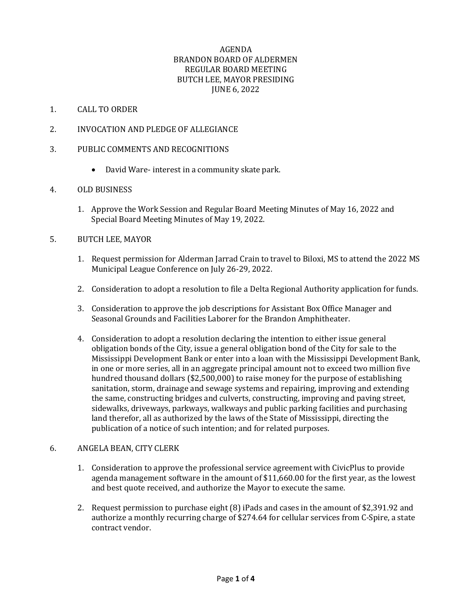# AGENDA BRANDON BOARD OF ALDERMEN REGULAR BOARD MEETING BUTCH LEE, MAYOR PRESIDING JUNE 6, 2022

### 1. CALL TO ORDER

2. INVOCATION AND PLEDGE OF ALLEGIANCE

### 3. PUBLIC COMMENTS AND RECOGNITIONS

• David Ware- interest in a community skate park.

## 4. OLD BUSINESS

1. Approve the Work Session and Regular Board Meeting Minutes of May 16, 2022 and Special Board Meeting Minutes of May 19, 2022.

#### 5. BUTCH LEE, MAYOR

- 1. Request permission for Alderman Jarrad Crain to travel to Biloxi, MS to attend the 2022 MS Municipal League Conference on July 26-29, 2022.
- 2. Consideration to adopt a resolution to file a Delta Regional Authority application for funds.
- 3. Consideration to approve the job descriptions for Assistant Box Office Manager and Seasonal Grounds and Facilities Laborer for the Brandon Amphitheater.
- 4. Consideration to adopt a resolution declaring the intention to either issue general obligation bonds of the City, issue a general obligation bond of the City for sale to the Mississippi Development Bank or enter into a loan with the Mississippi Development Bank, in one or more series, all in an aggregate principal amount not to exceed two million five hundred thousand dollars (\$2,500,000) to raise money for the purpose of establishing sanitation, storm, drainage and sewage systems and repairing, improving and extending the same, constructing bridges and culverts, constructing, improving and paving street, sidewalks, driveways, parkways, walkways and public parking facilities and purchasing land therefor, all as authorized by the laws of the State of Mississippi, directing the publication of a notice of such intention; and for related purposes.

### 6. ANGELA BEAN, CITY CLERK

- 1. Consideration to approve the professional service agreement with CivicPlus to provide agenda management software in the amount of \$11,660.00 for the first year, as the lowest and best quote received, and authorize the Mayor to execute the same.
- 2. Request permission to purchase eight (8) iPads and cases in the amount of \$2,391.92 and authorize a monthly recurring charge of \$274.64 for cellular services from C-Spire, a state contract vendor.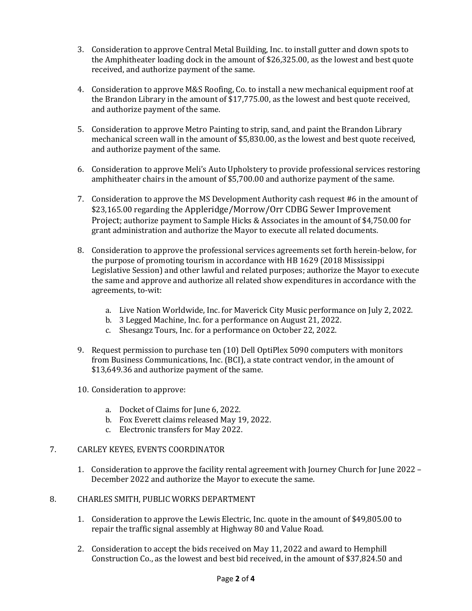- 3. Consideration to approve Central Metal Building, Inc. to install gutter and down spots to the Amphitheater loading dock in the amount of \$26,325.00, as the lowest and best quote received, and authorize payment of the same.
- 4. Consideration to approve M&S Roofing, Co. to install a new mechanical equipment roof at the Brandon Library in the amount of \$17,775.00, as the lowest and best quote received, and authorize payment of the same.
- 5. Consideration to approve Metro Painting to strip, sand, and paint the Brandon Library mechanical screen wall in the amount of \$5,830.00, as the lowest and best quote received, and authorize payment of the same.
- 6. Consideration to approve Meli's Auto Upholstery to provide professional services restoring amphitheater chairs in the amount of \$5,700.00 and authorize payment of the same.
- 7. Consideration to approve the MS Development Authority cash request #6 in the amount of \$23,165.00 regarding the Appleridge/Morrow/Orr CDBG Sewer Improvement Project; authorize payment to Sample Hicks & Associates in the amount of \$4,750.00 for grant administration and authorize the Mayor to execute all related documents.
- 8. Consideration to approve the professional services agreements set forth herein-below, for the purpose of promoting tourism in accordance with HB 1629 (2018 Mississippi Legislative Session) and other lawful and related purposes; authorize the Mayor to execute the same and approve and authorize all related show expenditures in accordance with the agreements, to-wit:
	- a. Live Nation Worldwide, Inc. for Maverick City Music performance on July 2, 2022.
	- b. 3 Legged Machine, Inc. for a performance on August 21, 2022.
	- c. Shesangz Tours, Inc. for a performance on October 22, 2022.
- 9. Request permission to purchase ten (10) Dell OptiPlex 5090 computers with monitors from Business Communications, Inc. (BCI), a state contract vendor, in the amount of \$13,649.36 and authorize payment of the same.
- 10. Consideration to approve:
	- a. Docket of Claims for June 6, 2022.
	- b. Fox Everett claims released May 19, 2022.
	- c. Electronic transfers for May 2022.

# 7. CARLEY KEYES, EVENTS COORDINATOR

1. Consideration to approve the facility rental agreement with Journey Church for June 2022 – December 2022 and authorize the Mayor to execute the same.

#### 8. CHARLES SMITH, PUBLIC WORKS DEPARTMENT

- 1. Consideration to approve the Lewis Electric, Inc. quote in the amount of \$49,805.00 to repair the traffic signal assembly at Highway 80 and Value Road.
- 2. Consideration to accept the bids received on May 11, 2022 and award to Hemphill Construction Co., as the lowest and best bid received, in the amount of \$37,824.50 and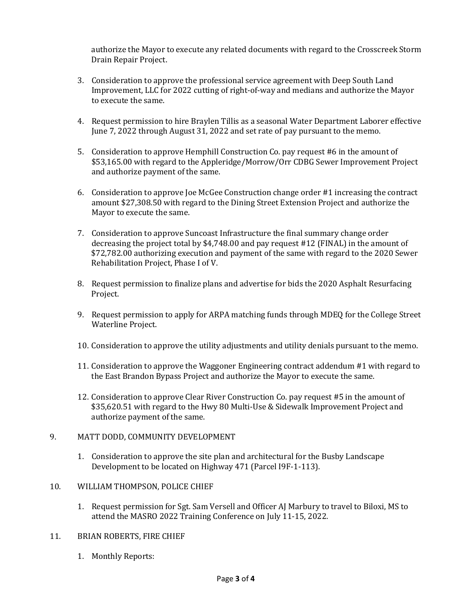authorize the Mayor to execute any related documents with regard to the Crosscreek Storm Drain Repair Project.

- 3. Consideration to approve the professional service agreement with Deep South Land Improvement, LLC for 2022 cutting of right-of-way and medians and authorize the Mayor to execute the same.
- 4. Request permission to hire Braylen Tillis as a seasonal Water Department Laborer effective June 7, 2022 through August 31, 2022 and set rate of pay pursuant to the memo.
- 5. Consideration to approve Hemphill Construction Co. pay request #6 in the amount of \$53,165.00 with regard to the Appleridge/Morrow/Orr CDBG Sewer Improvement Project and authorize payment of the same.
- 6. Consideration to approve Joe McGee Construction change order #1 increasing the contract amount \$27,308.50 with regard to the Dining Street Extension Project and authorize the Mayor to execute the same.
- 7. Consideration to approve Suncoast Infrastructure the final summary change order decreasing the project total by \$4,748.00 and pay request #12 (FINAL) in the amount of \$72,782.00 authorizing execution and payment of the same with regard to the 2020 Sewer Rehabilitation Project, Phase I of V.
- 8. Request permission to finalize plans and advertise for bids the 2020 Asphalt Resurfacing Project.
- 9. Request permission to apply for ARPA matching funds through MDEQ for the College Street Waterline Project.
- 10. Consideration to approve the utility adjustments and utility denials pursuant to the memo.
- 11. Consideration to approve the Waggoner Engineering contract addendum #1 with regard to the East Brandon Bypass Project and authorize the Mayor to execute the same.
- 12. Consideration to approve Clear River Construction Co. pay request #5 in the amount of \$35,620.51 with regard to the Hwy 80 Multi-Use & Sidewalk Improvement Project and authorize payment of the same.
- 9. MATT DODD, COMMUNITY DEVELOPMENT
	- 1. Consideration to approve the site plan and architectural for the Busby Landscape Development to be located on Highway 471 (Parcel I9F-1-113).
- 10. WILLIAM THOMPSON, POLICE CHIEF
	- 1. Request permission for Sgt. Sam Versell and Officer AJ Marbury to travel to Biloxi, MS to attend the MASRO 2022 Training Conference on July 11-15, 2022.
- 11. BRIAN ROBERTS, FIRE CHIEF
	- 1. Monthly Reports: